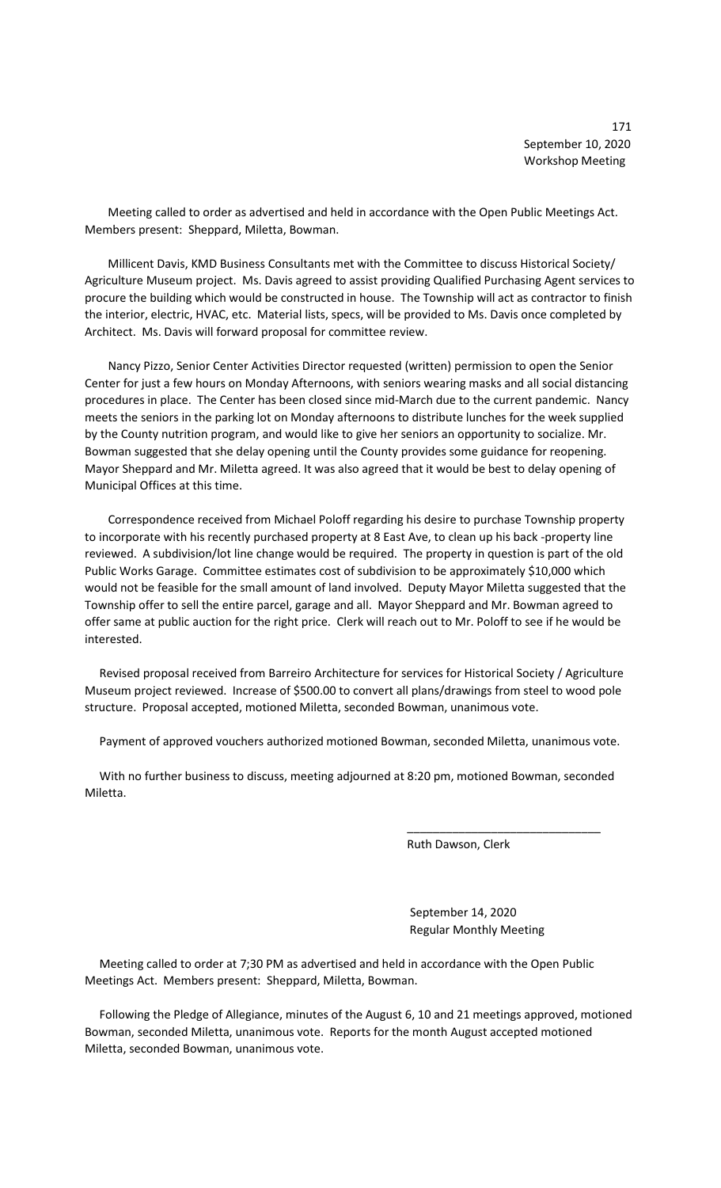171 September 10, 2020 Workshop Meeting

 Meeting called to order as advertised and held in accordance with the Open Public Meetings Act. Members present: Sheppard, Miletta, Bowman.

 Millicent Davis, KMD Business Consultants met with the Committee to discuss Historical Society/ Agriculture Museum project. Ms. Davis agreed to assist providing Qualified Purchasing Agent services to procure the building which would be constructed in house. The Township will act as contractor to finish the interior, electric, HVAC, etc. Material lists, specs, will be provided to Ms. Davis once completed by Architect. Ms. Davis will forward proposal for committee review.

 Nancy Pizzo, Senior Center Activities Director requested (written) permission to open the Senior Center for just a few hours on Monday Afternoons, with seniors wearing masks and all social distancing procedures in place. The Center has been closed since mid-March due to the current pandemic. Nancy meets the seniors in the parking lot on Monday afternoons to distribute lunches for the week supplied by the County nutrition program, and would like to give her seniors an opportunity to socialize. Mr. Bowman suggested that she delay opening until the County provides some guidance for reopening. Mayor Sheppard and Mr. Miletta agreed. It was also agreed that it would be best to delay opening of Municipal Offices at this time.

 Correspondence received from Michael Poloff regarding his desire to purchase Township property to incorporate with his recently purchased property at 8 East Ave, to clean up his back -property line reviewed. A subdivision/lot line change would be required. The property in question is part of the old Public Works Garage. Committee estimates cost of subdivision to be approximately \$10,000 which would not be feasible for the small amount of land involved. Deputy Mayor Miletta suggested that the Township offer to sell the entire parcel, garage and all. Mayor Sheppard and Mr. Bowman agreed to offer same at public auction for the right price. Clerk will reach out to Mr. Poloff to see if he would be interested.

 Revised proposal received from Barreiro Architecture for services for Historical Society / Agriculture Museum project reviewed. Increase of \$500.00 to convert all plans/drawings from steel to wood pole structure. Proposal accepted, motioned Miletta, seconded Bowman, unanimous vote.

Payment of approved vouchers authorized motioned Bowman, seconded Miletta, unanimous vote.

 With no further business to discuss, meeting adjourned at 8:20 pm, motioned Bowman, seconded Miletta.

 $\overline{\phantom{a}}$  , and the contract of the contract of the contract of the contract of the contract of the contract of the contract of the contract of the contract of the contract of the contract of the contract of the contrac

Ruth Dawson, Clerk

 September 14, 2020 Regular Monthly Meeting

 Meeting called to order at 7;30 PM as advertised and held in accordance with the Open Public Meetings Act. Members present: Sheppard, Miletta, Bowman.

 Following the Pledge of Allegiance, minutes of the August 6, 10 and 21 meetings approved, motioned Bowman, seconded Miletta, unanimous vote. Reports for the month August accepted motioned Miletta, seconded Bowman, unanimous vote.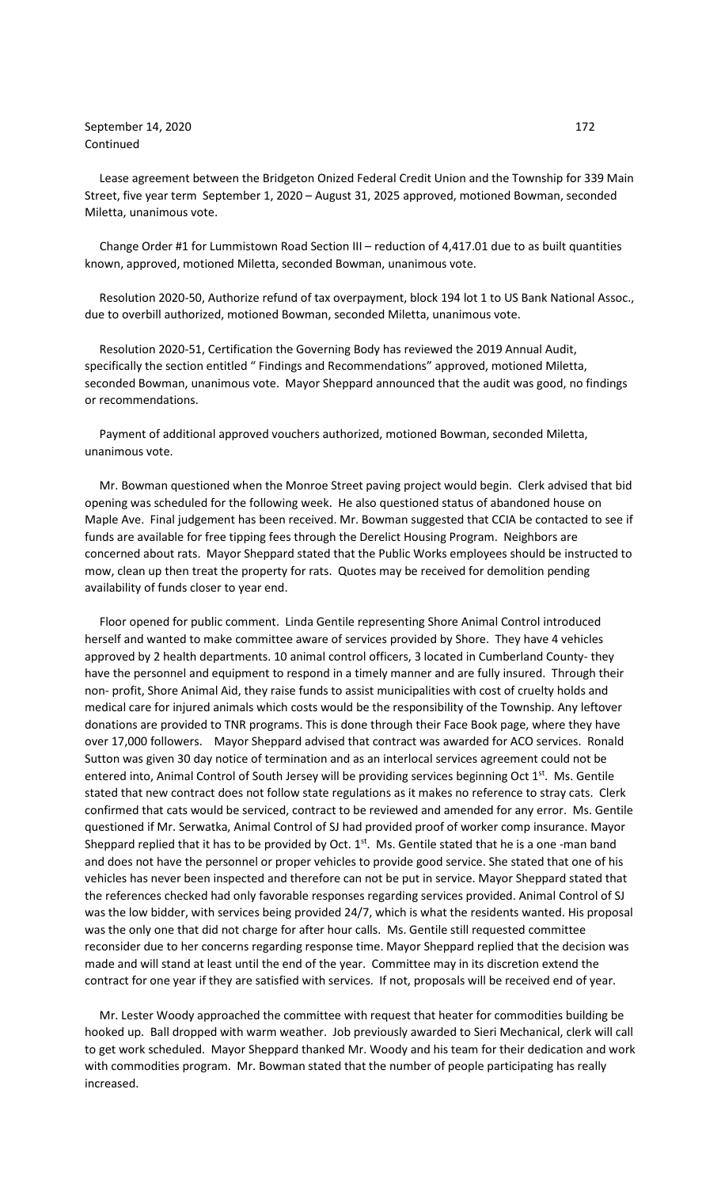## September 14, 2020 172 Continued

 Lease agreement between the Bridgeton Onized Federal Credit Union and the Township for 339 Main Street, five year term September 1, 2020 – August 31, 2025 approved, motioned Bowman, seconded Miletta, unanimous vote.

 Change Order #1 for Lummistown Road Section III – reduction of 4,417.01 due to as built quantities known, approved, motioned Miletta, seconded Bowman, unanimous vote.

 Resolution 2020-50, Authorize refund of tax overpayment, block 194 lot 1 to US Bank National Assoc., due to overbill authorized, motioned Bowman, seconded Miletta, unanimous vote.

 Resolution 2020-51, Certification the Governing Body has reviewed the 2019 Annual Audit, specifically the section entitled " Findings and Recommendations" approved, motioned Miletta, seconded Bowman, unanimous vote. Mayor Sheppard announced that the audit was good, no findings or recommendations.

 Payment of additional approved vouchers authorized, motioned Bowman, seconded Miletta, unanimous vote.

 Mr. Bowman questioned when the Monroe Street paving project would begin. Clerk advised that bid opening was scheduled for the following week. He also questioned status of abandoned house on Maple Ave. Final judgement has been received. Mr. Bowman suggested that CCIA be contacted to see if funds are available for free tipping fees through the Derelict Housing Program. Neighbors are concerned about rats. Mayor Sheppard stated that the Public Works employees should be instructed to mow, clean up then treat the property for rats. Quotes may be received for demolition pending availability of funds closer to year end.

 Floor opened for public comment. Linda Gentile representing Shore Animal Control introduced herself and wanted to make committee aware of services provided by Shore. They have 4 vehicles approved by 2 health departments. 10 animal control officers, 3 located in Cumberland County- they have the personnel and equipment to respond in a timely manner and are fully insured. Through their non- profit, Shore Animal Aid, they raise funds to assist municipalities with cost of cruelty holds and medical care for injured animals which costs would be the responsibility of the Township. Any leftover donations are provided to TNR programs. This is done through their Face Book page, where they have over 17,000 followers. Mayor Sheppard advised that contract was awarded for ACO services. Ronald Sutton was given 30 day notice of termination and as an interlocal services agreement could not be entered into, Animal Control of South Jersey will be providing services beginning Oct  $1^{st}$ . Ms. Gentile stated that new contract does not follow state regulations as it makes no reference to stray cats. Clerk confirmed that cats would be serviced, contract to be reviewed and amended for any error. Ms. Gentile questioned if Mr. Serwatka, Animal Control of SJ had provided proof of worker comp insurance. Mayor Sheppard replied that it has to be provided by Oct.  $1<sup>st</sup>$ . Ms. Gentile stated that he is a one -man band and does not have the personnel or proper vehicles to provide good service. She stated that one of his vehicles has never been inspected and therefore can not be put in service. Mayor Sheppard stated that the references checked had only favorable responses regarding services provided. Animal Control of SJ was the low bidder, with services being provided 24/7, which is what the residents wanted. His proposal was the only one that did not charge for after hour calls. Ms. Gentile still requested committee reconsider due to her concerns regarding response time. Mayor Sheppard replied that the decision was made and will stand at least until the end of the year. Committee may in its discretion extend the contract for one year if they are satisfied with services. If not, proposals will be received end of year.

 Mr. Lester Woody approached the committee with request that heater for commodities building be hooked up. Ball dropped with warm weather. Job previously awarded to Sieri Mechanical, clerk will call to get work scheduled. Mayor Sheppard thanked Mr. Woody and his team for their dedication and work with commodities program. Mr. Bowman stated that the number of people participating has really increased.